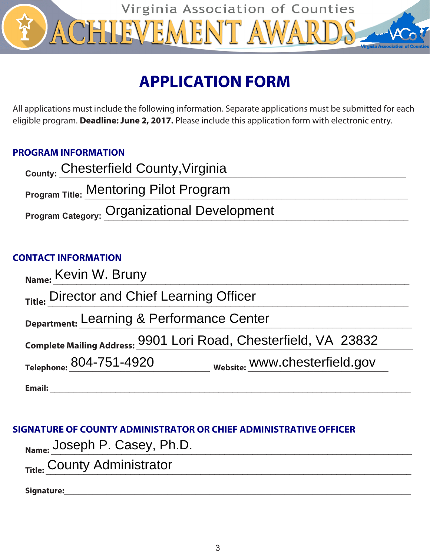

# **APPLICATION FORM**

All applications must include the following information. Separate applications must be submitted for each eligible program. **Deadline: June 2, 2017.** Please include this application form with electronic entry.

# **PROGRAM INFORMATION**

| <sub>County:</sub> Chesterfield County, Virginia    |
|-----------------------------------------------------|
| <b>Program Title: Mentoring Pilot Program</b>       |
| <b>Program Category: Organizational Development</b> |
|                                                     |

# **CONTACT INFORMATION**

| Name: Kevin W. Bruny                                                |
|---------------------------------------------------------------------|
| Title: Director and Chief Learning Officer                          |
| Department: Learning & Performance Center                           |
| Complete Mailing Address: 9901 Lori Road, Chesterfield, VA 23832    |
| <sub>Website:</sub> www.chesterfield.gov<br>Telephone: 804-751-4920 |
| <b>Email:</b>                                                       |

# **SIGNATURE OF COUNTY ADMINISTRATOR OR CHIEF ADMINISTRATIVE OFFICER**

| $_{\mathsf{Name:}}$ Joseph P. Casey, Ph.D. |  |
|--------------------------------------------|--|
| <sub>Title:</sub> County Administrator     |  |

**Signature:**\_\_\_\_\_\_\_\_\_\_\_\_\_\_\_\_\_\_\_\_\_\_\_\_\_\_\_\_\_\_\_\_\_\_\_\_\_\_\_\_\_\_\_\_\_\_\_\_\_\_\_\_\_\_\_\_\_\_\_\_\_\_\_\_\_\_\_\_\_\_\_\_\_\_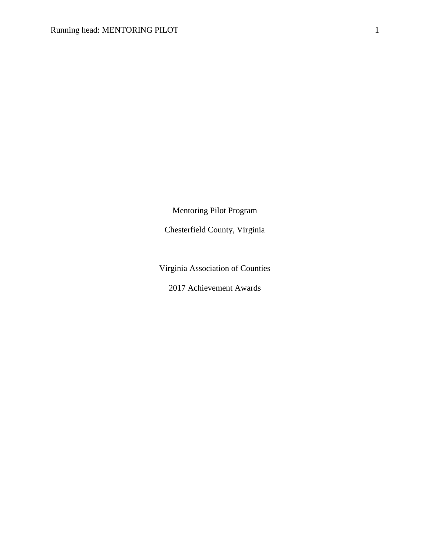Mentoring Pilot Program

Chesterfield County, Virginia

Virginia Association of Counties

2017 Achievement Awards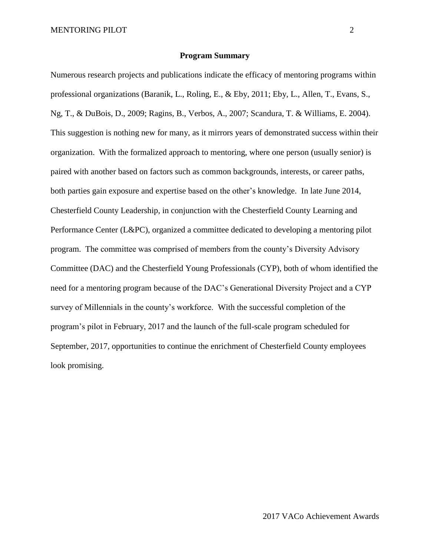#### **Program Summary**

Numerous research projects and publications indicate the efficacy of mentoring programs within professional organizations (Baranik, L., Roling, E., & Eby, 2011; Eby, L., Allen, T., Evans, S., Ng, T., & DuBois, D., 2009; Ragins, B., Verbos, A., 2007; Scandura, T. & Williams, E. 2004). This suggestion is nothing new for many, as it mirrors years of demonstrated success within their organization. With the formalized approach to mentoring, where one person (usually senior) is paired with another based on factors such as common backgrounds, interests, or career paths, both parties gain exposure and expertise based on the other's knowledge. In late June 2014, Chesterfield County Leadership, in conjunction with the Chesterfield County Learning and Performance Center (L&PC), organized a committee dedicated to developing a mentoring pilot program. The committee was comprised of members from the county's Diversity Advisory Committee (DAC) and the Chesterfield Young Professionals (CYP), both of whom identified the need for a mentoring program because of the DAC's Generational Diversity Project and a CYP survey of Millennials in the county's workforce. With the successful completion of the program's pilot in February, 2017 and the launch of the full-scale program scheduled for September, 2017, opportunities to continue the enrichment of Chesterfield County employees look promising.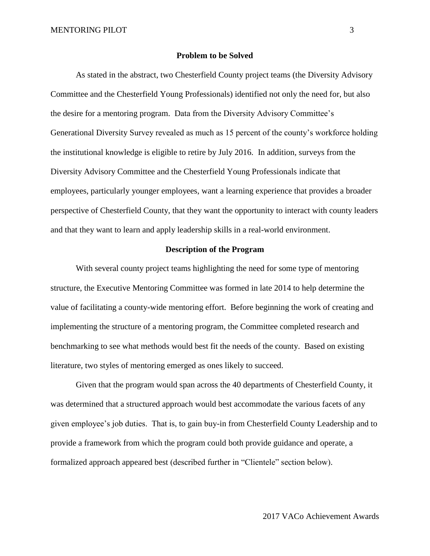#### **Problem to be Solved**

As stated in the abstract, two Chesterfield County project teams (the Diversity Advisory Committee and the Chesterfield Young Professionals) identified not only the need for, but also the desire for a mentoring program. Data from the Diversity Advisory Committee's Generational Diversity Survey revealed as much as 15 percent of the county's workforce holding the institutional knowledge is eligible to retire by July 2016. In addition, surveys from the Diversity Advisory Committee and the Chesterfield Young Professionals indicate that employees, particularly younger employees, want a learning experience that provides a broader perspective of Chesterfield County, that they want the opportunity to interact with county leaders and that they want to learn and apply leadership skills in a real-world environment.

#### **Description of the Program**

With several county project teams highlighting the need for some type of mentoring structure, the Executive Mentoring Committee was formed in late 2014 to help determine the value of facilitating a county-wide mentoring effort. Before beginning the work of creating and implementing the structure of a mentoring program, the Committee completed research and benchmarking to see what methods would best fit the needs of the county. Based on existing literature, two styles of mentoring emerged as ones likely to succeed.

Given that the program would span across the 40 departments of Chesterfield County, it was determined that a structured approach would best accommodate the various facets of any given employee's job duties. That is, to gain buy-in from Chesterfield County Leadership and to provide a framework from which the program could both provide guidance and operate, a formalized approach appeared best (described further in "Clientele" section below).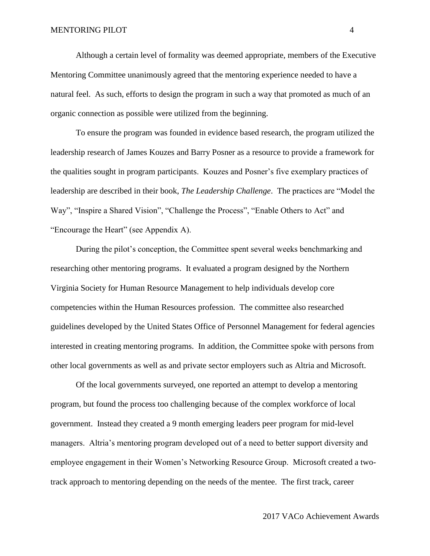Although a certain level of formality was deemed appropriate, members of the Executive Mentoring Committee unanimously agreed that the mentoring experience needed to have a natural feel. As such, efforts to design the program in such a way that promoted as much of an organic connection as possible were utilized from the beginning.

To ensure the program was founded in evidence based research, the program utilized the leadership research of James Kouzes and Barry Posner as a resource to provide a framework for the qualities sought in program participants. Kouzes and Posner's five exemplary practices of leadership are described in their book, *The Leadership Challenge*. The practices are "Model the Way", "Inspire a Shared Vision", "Challenge the Process", "Enable Others to Act" and "Encourage the Heart" (see Appendix A).

During the pilot's conception, the Committee spent several weeks benchmarking and researching other mentoring programs. It evaluated a program designed by the Northern Virginia Society for Human Resource Management to help individuals develop core competencies within the Human Resources profession. The committee also researched guidelines developed by the United States Office of Personnel Management for federal agencies interested in creating mentoring programs. In addition, the Committee spoke with persons from other local governments as well as and private sector employers such as Altria and Microsoft.

Of the local governments surveyed, one reported an attempt to develop a mentoring program, but found the process too challenging because of the complex workforce of local government. Instead they created a 9 month emerging leaders peer program for mid-level managers. Altria's mentoring program developed out of a need to better support diversity and employee engagement in their Women's Networking Resource Group. Microsoft created a twotrack approach to mentoring depending on the needs of the mentee. The first track, career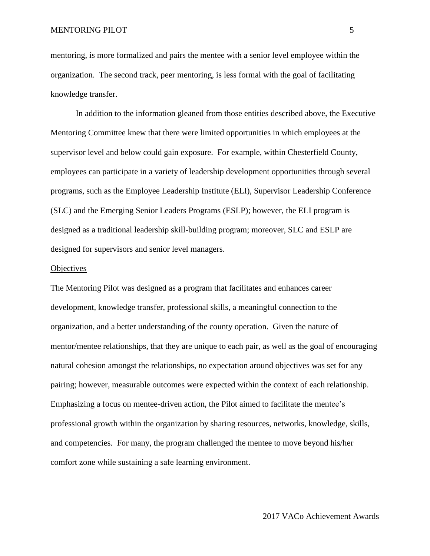mentoring, is more formalized and pairs the mentee with a senior level employee within the organization. The second track, peer mentoring, is less formal with the goal of facilitating knowledge transfer.

In addition to the information gleaned from those entities described above, the Executive Mentoring Committee knew that there were limited opportunities in which employees at the supervisor level and below could gain exposure. For example, within Chesterfield County, employees can participate in a variety of leadership development opportunities through several programs, such as the Employee Leadership Institute (ELI), Supervisor Leadership Conference (SLC) and the Emerging Senior Leaders Programs (ESLP); however, the ELI program is designed as a traditional leadership skill-building program; moreover, SLC and ESLP are designed for supervisors and senior level managers.

#### **Objectives**

The Mentoring Pilot was designed as a program that facilitates and enhances career development, knowledge transfer, professional skills, a meaningful connection to the organization, and a better understanding of the county operation. Given the nature of mentor/mentee relationships, that they are unique to each pair, as well as the goal of encouraging natural cohesion amongst the relationships, no expectation around objectives was set for any pairing; however, measurable outcomes were expected within the context of each relationship. Emphasizing a focus on mentee-driven action, the Pilot aimed to facilitate the mentee's professional growth within the organization by sharing resources, networks, knowledge, skills, and competencies. For many, the program challenged the mentee to move beyond his/her comfort zone while sustaining a safe learning environment.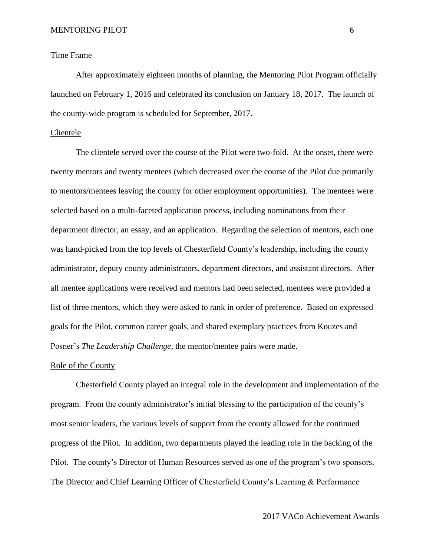#### Time Frame

After approximately eighteen months of planning, the Mentoring Pilot Program officially launched on February 1, 2016 and celebrated its conclusion on January 18, 2017. The launch of the county-wide program is scheduled for September, 2017.

## Clientele

The clientele served over the course of the Pilot were two-fold. At the onset, there were twenty mentors and twenty mentees (which decreased over the course of the Pilot due primarily to mentors/mentees leaving the county for other employment opportunities). The mentees were selected based on a multi-faceted application process, including nominations from their department director, an essay, and an application. Regarding the selection of mentors, each one was hand-picked from the top levels of Chesterfield County's leadership, including the county administrator, deputy county administrators, department directors, and assistant directors. After all mentee applications were received and mentors had been selected, mentees were provided a list of three mentors, which they were asked to rank in order of preference. Based on expressed goals for the Pilot, common career goals, and shared exemplary practices from Kouzes and Posner's *The Leadership Challenge*, the mentor/mentee pairs were made.

#### Role of the County

Chesterfield County played an integral role in the development and implementation of the program. From the county administrator's initial blessing to the participation of the county's most senior leaders, the various levels of support from the county allowed for the continued progress of the Pilot. In addition, two departments played the leading role in the backing of the Pilot. The county's Director of Human Resources served as one of the program's two sponsors. The Director and Chief Learning Officer of Chesterfield County's Learning & Performance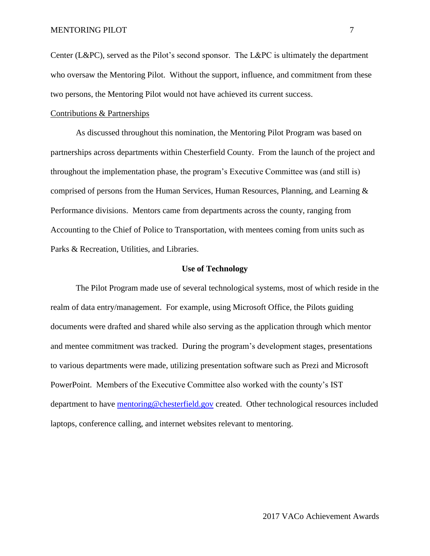Center (L&PC), served as the Pilot's second sponsor. The L&PC is ultimately the department who oversaw the Mentoring Pilot. Without the support, influence, and commitment from these two persons, the Mentoring Pilot would not have achieved its current success.

### Contributions & Partnerships

As discussed throughout this nomination, the Mentoring Pilot Program was based on partnerships across departments within Chesterfield County. From the launch of the project and throughout the implementation phase, the program's Executive Committee was (and still is) comprised of persons from the Human Services, Human Resources, Planning, and Learning  $\&$ Performance divisions. Mentors came from departments across the county, ranging from Accounting to the Chief of Police to Transportation, with mentees coming from units such as Parks & Recreation, Utilities, and Libraries.

#### **Use of Technology**

The Pilot Program made use of several technological systems, most of which reside in the realm of data entry/management. For example, using Microsoft Office, the Pilots guiding documents were drafted and shared while also serving as the application through which mentor and mentee commitment was tracked. During the program's development stages, presentations to various departments were made, utilizing presentation software such as Prezi and Microsoft PowerPoint. Members of the Executive Committee also worked with the county's IST department to have [mentoring@chesterfield.gov](mailto:mentoring@chesterfield.gov) created. Other technological resources included laptops, conference calling, and internet websites relevant to mentoring.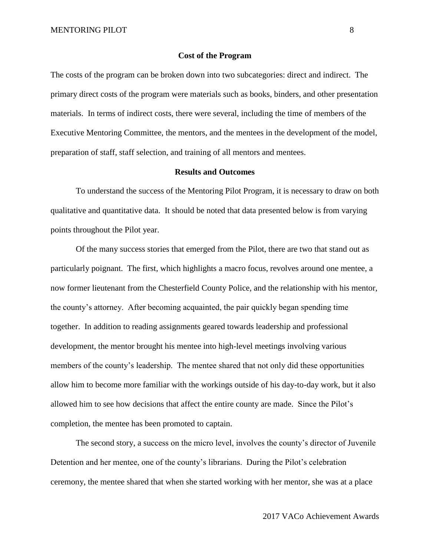#### **Cost of the Program**

The costs of the program can be broken down into two subcategories: direct and indirect. The primary direct costs of the program were materials such as books, binders, and other presentation materials. In terms of indirect costs, there were several, including the time of members of the Executive Mentoring Committee, the mentors, and the mentees in the development of the model, preparation of staff, staff selection, and training of all mentors and mentees.

#### **Results and Outcomes**

To understand the success of the Mentoring Pilot Program, it is necessary to draw on both qualitative and quantitative data. It should be noted that data presented below is from varying points throughout the Pilot year.

Of the many success stories that emerged from the Pilot, there are two that stand out as particularly poignant. The first, which highlights a macro focus, revolves around one mentee, a now former lieutenant from the Chesterfield County Police, and the relationship with his mentor, the county's attorney. After becoming acquainted, the pair quickly began spending time together. In addition to reading assignments geared towards leadership and professional development, the mentor brought his mentee into high-level meetings involving various members of the county's leadership. The mentee shared that not only did these opportunities allow him to become more familiar with the workings outside of his day-to-day work, but it also allowed him to see how decisions that affect the entire county are made. Since the Pilot's completion, the mentee has been promoted to captain.

The second story, a success on the micro level, involves the county's director of Juvenile Detention and her mentee, one of the county's librarians. During the Pilot's celebration ceremony, the mentee shared that when she started working with her mentor, she was at a place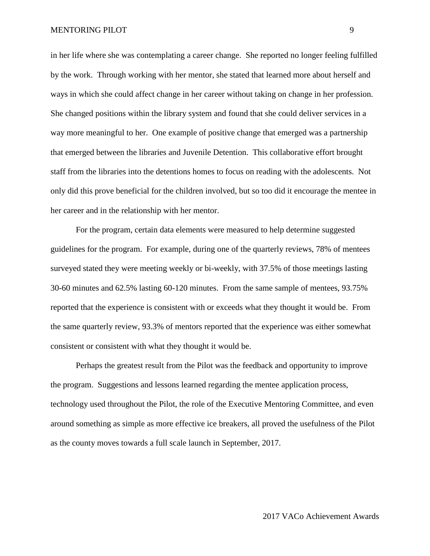in her life where she was contemplating a career change. She reported no longer feeling fulfilled by the work. Through working with her mentor, she stated that learned more about herself and ways in which she could affect change in her career without taking on change in her profession. She changed positions within the library system and found that she could deliver services in a way more meaningful to her. One example of positive change that emerged was a partnership that emerged between the libraries and Juvenile Detention. This collaborative effort brought staff from the libraries into the detentions homes to focus on reading with the adolescents. Not only did this prove beneficial for the children involved, but so too did it encourage the mentee in her career and in the relationship with her mentor.

For the program, certain data elements were measured to help determine suggested guidelines for the program. For example, during one of the quarterly reviews, 78% of mentees surveyed stated they were meeting weekly or bi-weekly, with 37.5% of those meetings lasting 30-60 minutes and 62.5% lasting 60-120 minutes. From the same sample of mentees, 93.75% reported that the experience is consistent with or exceeds what they thought it would be. From the same quarterly review, 93.3% of mentors reported that the experience was either somewhat consistent or consistent with what they thought it would be.

Perhaps the greatest result from the Pilot was the feedback and opportunity to improve the program. Suggestions and lessons learned regarding the mentee application process, technology used throughout the Pilot, the role of the Executive Mentoring Committee, and even around something as simple as more effective ice breakers, all proved the usefulness of the Pilot as the county moves towards a full scale launch in September, 2017.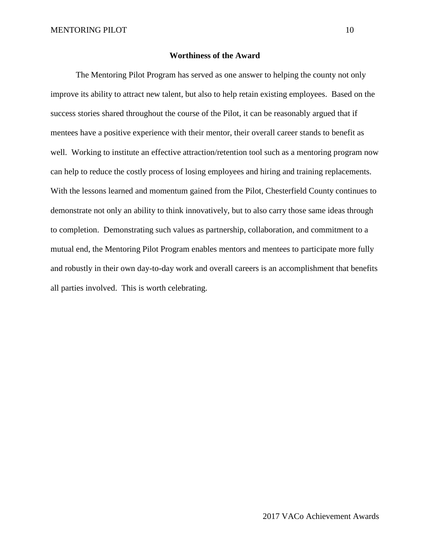## **Worthiness of the Award**

The Mentoring Pilot Program has served as one answer to helping the county not only improve its ability to attract new talent, but also to help retain existing employees. Based on the success stories shared throughout the course of the Pilot, it can be reasonably argued that if mentees have a positive experience with their mentor, their overall career stands to benefit as well. Working to institute an effective attraction/retention tool such as a mentoring program now can help to reduce the costly process of losing employees and hiring and training replacements. With the lessons learned and momentum gained from the Pilot, Chesterfield County continues to demonstrate not only an ability to think innovatively, but to also carry those same ideas through to completion. Demonstrating such values as partnership, collaboration, and commitment to a mutual end, the Mentoring Pilot Program enables mentors and mentees to participate more fully and robustly in their own day-to-day work and overall careers is an accomplishment that benefits all parties involved. This is worth celebrating.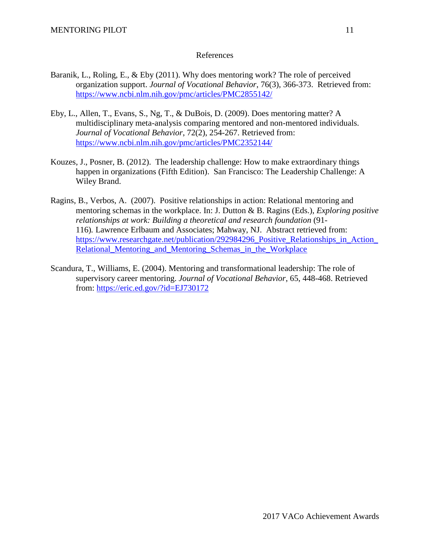## References

- Baranik, L., Roling, E., & Eby (2011). Why does mentoring work? The role of perceived organization support. *Journal of Vocational Behavior*, 76(3), 366-373. Retrieved from: <https://www.ncbi.nlm.nih.gov/pmc/articles/PMC2855142/>
- Eby, L., Allen, T., Evans, S., Ng, T., & DuBois, D. (2009). Does mentoring matter? A multidisciplinary meta-analysis comparing mentored and non-mentored individuals. *Journal of Vocational Behavior*, 72(2), 254-267. Retrieved from: <https://www.ncbi.nlm.nih.gov/pmc/articles/PMC2352144/>
- Kouzes, J., Posner, B. (2012). The leadership challenge: How to make extraordinary things happen in organizations (Fifth Edition). San Francisco: The Leadership Challenge: A Wiley Brand.
- Ragins, B., Verbos, A. (2007). Positive relationships in action: Relational mentoring and mentoring schemas in the workplace. In: J. Dutton & B. Ragins (Eds.), *Exploring positive relationships at work: Building a theoretical and research foundation* (91- 116)*.* Lawrence Erlbaum and Associates; Mahway, NJ. Abstract retrieved from: [https://www.researchgate.net/publication/292984296\\_Positive\\_Relationships\\_in\\_Action\\_](https://www.researchgate.net/publication/292984296_Positive_Relationships_in_Action_Relational_Mentoring_and_Mentoring_Schemas_in_the_Workplace) [Relational\\_Mentoring\\_and\\_Mentoring\\_Schemas\\_in\\_the\\_Workplace](https://www.researchgate.net/publication/292984296_Positive_Relationships_in_Action_Relational_Mentoring_and_Mentoring_Schemas_in_the_Workplace)
- Scandura, T., Williams, E. (2004). Mentoring and transformational leadership: The role of supervisory career mentoring. *Journal of Vocational Behavior*, 65, 448-468. Retrieved from:<https://eric.ed.gov/?id=EJ730172>